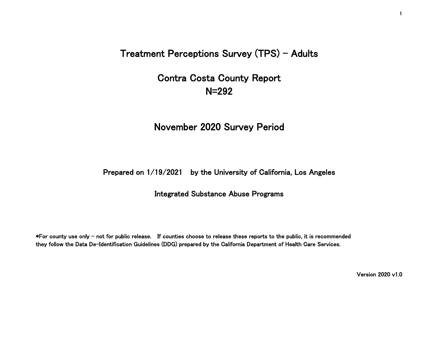Treatment Perceptions Survey (TPS) - Adults

# Contra Costa County Report N=292

## November 2020 Survey Period

### Prepared on 1/19/2021 by the University of California, Los Angeles

#### Integrated Substance Abuse Programs

\*For county use only - not for public release. If counties choose to release these reports to the public, it is recommended they follow the Data De-Identification Guidelines (DDG) prepared by the California Department of Health Care Services.

Version 2020 v1.0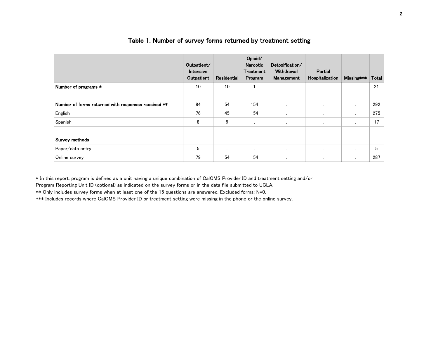|                                                     | Outpatient/<br>Intensive<br>Outpatient | Residential | Opioid/<br>Narcotic<br><b>Treatment</b><br>Program | Detoxification/<br>Withdrawal<br>Management | Partial<br>Hospitalization | Missing***     | Total |
|-----------------------------------------------------|----------------------------------------|-------------|----------------------------------------------------|---------------------------------------------|----------------------------|----------------|-------|
| Number of programs *                                | 10                                     | 10          |                                                    | $\cdot$                                     | $\sim$                     | $\cdot$        | 21    |
| Number of forms returned with responses received ** | 84                                     | 54          | 154                                                | $\cdot$                                     | ٠                          | $\cdot$        | 292   |
| English                                             | 76                                     | 45          | 154                                                | ٠                                           | ٠                          |                | 275   |
| Spanish                                             | 8                                      | 9           | $\bullet$                                          | $\blacksquare$                              | $\sim$                     | $\blacksquare$ | 17    |
| Survey methods                                      |                                        |             |                                                    |                                             |                            |                |       |
| Paper/data entry                                    | 5                                      | $\cdot$     | $\bullet$                                          | $\blacksquare$                              | $\bullet$                  | $\cdot$        | 5     |
| Online survey                                       | 79                                     | 54          | 154                                                | $\cdot$                                     | $\cdot$                    | $\cdot$        | 287   |

#### Table 1. Number of survey forms returned by treatment setting

\* In this report, program is defined as a unit having a unique combination of CalOMS Provider ID and treatment setting and/or

Program Reporting Unit ID (optional) as indicated on the survey forms or in the data file submitted to UCLA.

\*\* Only includes survey forms when at least one of the 15 questions are answered. Excluded forms: N=0.

\*\*\* Includes records where CalOMS Provider ID or treatment setting were missing in the phone or the online survey.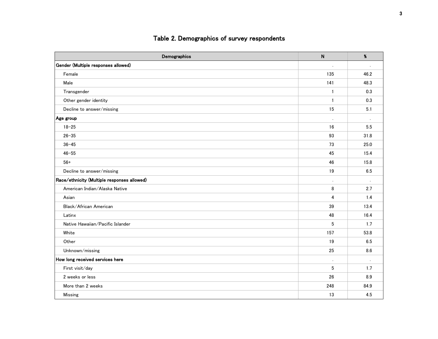### Table 2. Demographics of survey respondents

| Demographics                                | $\mathsf{N}$   | $\pmb{\%}$           |
|---------------------------------------------|----------------|----------------------|
| Gender (Multiple responses allowed)         |                |                      |
| Female                                      | 135            | 46.2                 |
| Male                                        | 141            | 48.3                 |
| Transgender                                 | $\mathbf{1}$   | 0.3                  |
| Other gender identity                       | $\mathbf{1}$   | 0.3                  |
| Decline to answer/missing                   | 15             | 5.1                  |
| Age group                                   | $\blacksquare$ | $\ddot{\phantom{a}}$ |
| $18 - 25$                                   | 16             | 5.5                  |
| $26 - 35$                                   | 93             | 31.8                 |
| $36 - 45$                                   | 73             | 25.0                 |
| $46 - 55$                                   | 45             | 15.4                 |
| $56+$                                       | 46             | 15.8                 |
| Decline to answer/missing                   | 19             | 6.5                  |
| Race/ethnicity (Multiple responses allowed) | $\cdot$        |                      |
| American Indian/Alaska Native               | 8              | 2.7                  |
| Asian                                       | $\overline{4}$ | 1.4                  |
| Black/African American                      | 39             | 13.4                 |
| Latinx                                      | 48             | 16.4                 |
| Native Hawaiian/Pacific Islander            | $5\,$          | 1.7                  |
| White                                       | 157            | 53.8                 |
| Other                                       | 19             | 6.5                  |
| Unknown/missing                             | 25             | 8.6                  |
| How long received services here             | $\cdot$        |                      |
| First visit/day                             | 5              | 1.7                  |
| 2 weeks or less                             | 26             | 8.9                  |
| More than 2 weeks                           | 248            | 84.9                 |
| Missing                                     | 13             | 4.5                  |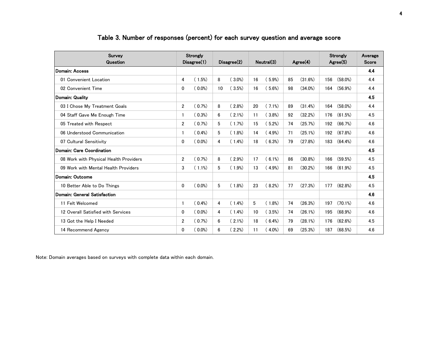| Survey<br>Question                     | Strongly<br>Disagree(1) |           | Disagree(2) |           | Neutral(3) |           | $A$ gree $(4)$ |            | <b>Strongly</b><br>$A$ gree $(5)$ |         | Average<br>Score |
|----------------------------------------|-------------------------|-----------|-------------|-----------|------------|-----------|----------------|------------|-----------------------------------|---------|------------------|
| Domain: Access                         |                         |           |             |           |            |           |                |            |                                   |         | 4.4              |
| 01 Convenient Location                 | 4                       | (1.5%)    | 8           | $(3.0\%)$ | 16         | $5.9\%)$  | 85             | (31.6%)    | 156                               | (58.0%) | 4.4              |
| 02 Convenient Time                     | 0                       | $(0.0\%)$ | 10          | (3.5%)    | 16         | $5.6\%)$  | 98             | $(34.0\%)$ | 164                               | (56.9%) | 4.4              |
| Domain: Quality                        |                         |           |             |           |            |           |                |            |                                   |         | 4.5              |
| 03 I Chose My Treatment Goals          | $\overline{2}$          | 0.7%      | 8           | $(2.8\%)$ | 20         | $(7.1\%)$ | 89             | (31.4%)    | 164                               | (58.0%) | 4.4              |
| 04 Staff Gave Me Enough Time           | -1                      | $(0.3\%)$ | 6           | $(2.1\%)$ | 11         | $(3.8\%)$ | 92             | (32.2%)    | 176                               | (61.5%) | 4.5              |
| 05 Treated with Respect                | $\overline{2}$          | (0.7%)    | 5           | $(1.7\%)$ | 15         | $(5.2\%)$ | 74             | (25.7%)    | 192                               | (66.7%) | 4.6              |
| 06 Understood Communication            | -1                      | $(0.4\%)$ | 5           | $(1.8\%)$ | 14         | $(4.9\%)$ | 71             | (25.1%)    | 192                               | (67.8%) | 4.6              |
| 07 Cultural Sensitivity                | $\Omega$                | $(0.0\%)$ | 4           | $(1.4\%)$ | 18         | (6.3%)    | 79             | (27.8%)    | 183                               | (64.4%) | 4.6              |
| Domain: Care Coordination              |                         |           |             |           |            |           |                |            |                                   |         | 4.5              |
| 08 Work with Physical Health Providers | $\overline{2}$          | (0.7%)    | 8           | $(2.9\%)$ | 17         | $(6.1\%)$ | 86             | (30.8%)    | 166                               | (59.5%) | 4.5              |
| 09 Work with Mental Health Providers   | 3                       | $(1.1\%)$ | 5           | $(1.9\%)$ | 13         | $(4.9\%)$ | 81             | (30.2%)    | 166                               | (61.9%) | 4.5              |
| Domain: Outcome                        |                         |           |             |           |            |           |                |            |                                   |         | 4.5              |
| 10 Better Able to Do Things            | $\Omega$                | $0.0\%)$  | 5           | $(1.8\%)$ | 23         | (8.2%)    | 77             | (27.3%)    | 177                               | (62.8%) | 4.5              |
| Domain: General Satisfaction           |                         |           |             |           |            |           |                |            |                                   |         | 4.6              |
| 11 Felt Welcomed                       | -1                      | $(0.4\%)$ | 4           | $(1.4\%)$ | 5          | $(1.8\%)$ | 74             | (26.3%)    | 197                               | (70.1%) | 4.6              |
| 12 Overall Satisfied with Services     | 0                       | $(0.0\%)$ | 4           | $(1.4\%)$ | 10         | (3.5%)    | 74             | (26.1%)    | 195                               | (68.9%) | 4.6              |
| 13 Got the Help I Needed               | $\overline{2}$          | (0.7%)    | 6           | $(2.1\%)$ | 18         | $(6.4\%)$ | 79             | (28.1%)    | 176                               | (62.6%) | 4.5              |
| 14 Recommend Agency                    | 0                       | $(0.0\%)$ | 6           | $(2.2\%)$ | 11         | $(4.0\%)$ | 69             | (25.3%)    | 187                               | (68.5%) | 4.6              |

### Table 3. Number of responses (percent) for each survey question and average score

Note: Domain averages based on surveys with complete data within each domain.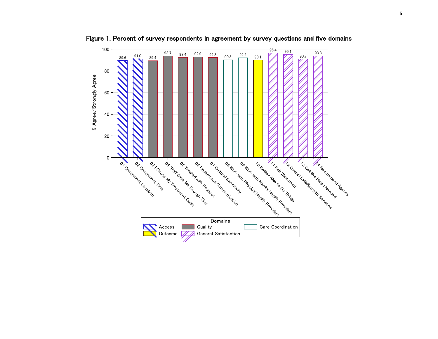

Figure 1. Percent of survey respondents in agreement by survey questions and five domains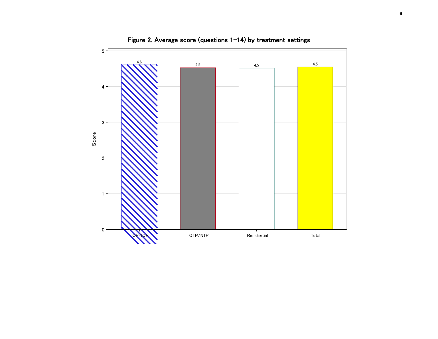

Figure 2. Average score (questions 1-14) by treatment settings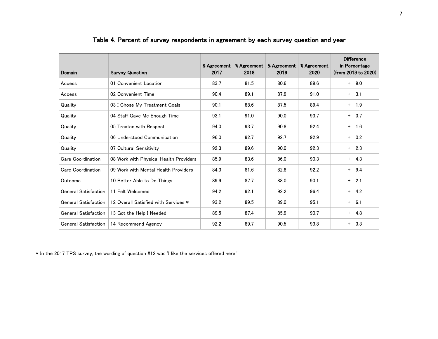| Domain                      | <b>Survey Question</b>                 | % Agreement<br>2017 | % Agreement<br>2018 | % Agreement<br>2019 | % Agreement<br>2020 | <b>Difference</b><br>in Percentage<br>(from 2019 to 2020) |
|-----------------------------|----------------------------------------|---------------------|---------------------|---------------------|---------------------|-----------------------------------------------------------|
| Access                      | 01 Convenient Location                 | 83.7                | 81.5                | 80.6                | 89.6                | $+ 9.0$                                                   |
| Access                      | 02 Convenient Time                     | 90.4                | 89.1                | 87.9                | 91.0                | $+ 3.1$                                                   |
| Quality                     | 03 I Chose My Treatment Goals          | 90.1                | 88.6                | 87.5                | 89.4                | $+$ 1.9                                                   |
| Quality                     | 04 Staff Gave Me Enough Time           | 93.1                | 91.0                | 90.0                | 93.7                | $+ 3.7$                                                   |
| Quality                     | 05 Treated with Respect                | 94.0                | 93.7                | 90.8                | 92.4                | $+$ 1.6                                                   |
| Quality                     | 06 Understood Communication            | 96.0                | 92.7                | 92.7                | 92.9                | $+ 0.2$                                                   |
| Quality                     | 07 Cultural Sensitivity                | 92.3                | 89.6                | 90.0                | 92.3                | $+ 2.3$                                                   |
| Care Coordination           | 08 Work with Physical Health Providers | 85.9                | 83.6                | 86.0                | 90.3                | $+ 4.3$                                                   |
| Care Coordination           | 09 Work with Mental Health Providers   | 84.3                | 81.6                | 82.8                | 92.2                | $+ 9.4$                                                   |
| Outcome                     | 10 Better Able to Do Things            | 89.9                | 87.7                | 88.0                | 90.1                | $+ 2.1$                                                   |
| <b>General Satisfaction</b> | 11 Felt Welcomed                       | 94.2                | 92.1                | 92.2                | 96.4                | $+ 4.2$                                                   |
| <b>General Satisfaction</b> | 12 Overall Satisfied with Services *   | 93.2                | 89.5                | 89.0                | 95.1                | $+ 6.1$                                                   |
| <b>General Satisfaction</b> | 13 Got the Help I Needed               | 89.5                | 87.4                | 85.9                | 90.7                | $+ 4.8$                                                   |
| <b>General Satisfaction</b> | 14 Recommend Agency                    | 92.2                | 89.7                | 90.5                | 93.8                | $+ 3.3$                                                   |

### Table 4. Percent of survey respondents in agreement by each survey question and year

\* In the 2017 TPS survey, the wording of question #12 was 'I like the services offered here.'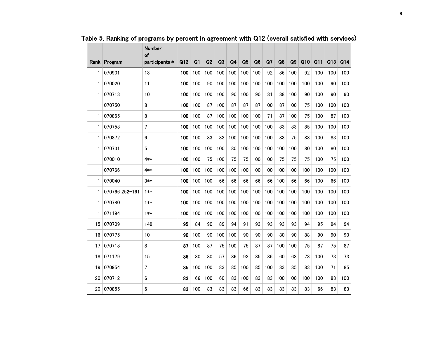|    | Rank Program   | <b>Number</b><br>of<br>participants * | Q12 | Q <sub>1</sub> | Q2  | Q3  | Q <sub>4</sub> | Q <sub>5</sub> | Q <sub>6</sub> | Q <sub>7</sub> | Q8  | Q <sub>9</sub> | Q10 | Q11 | Q13 | Q14 |
|----|----------------|---------------------------------------|-----|----------------|-----|-----|----------------|----------------|----------------|----------------|-----|----------------|-----|-----|-----|-----|
| 1  | 070901         | 13                                    | 100 | 100            | 100 | 100 | 100            | 100            | 100            | 92             | 86  | 100            | 92  | 100 | 100 | 100 |
| 1  | 070020         | 11                                    | 100 | 100            | 90  | 100 | 100            | 100            | 100            | 100            | 100 | 100            | 100 | 100 | 90  | 100 |
| 1  | 070713         | 10                                    | 100 | 100            | 100 | 100 | 90             | 100            | 90             | 81             | 88  | 100            | 90  | 100 | 90  | 90  |
| 1  | 070750         | 8                                     | 100 | 100            | 87  | 100 | 87             | 87             | 87             | 100            | 87  | 100            | 75  | 100 | 100 | 100 |
| 1  | 070865         | 8                                     | 100 | 100            | 87  | 100 | 100            | 100            | 100            | 71             | 87  | 100            | 75  | 100 | 87  | 100 |
| 1  | 070753         | $\overline{7}$                        | 100 | 100            | 100 | 100 | 100            | 100            | 100            | 100            | 83  | 83             | 85  | 100 | 100 | 100 |
| 1  | 070872         | 6                                     | 100 | 100            | 83  | 83  | 100            | 100            | 100            | 100            | 83  | 75             | 83  | 100 | 83  | 100 |
| 1  | 070731         | 5                                     | 100 | 100            | 100 | 100 | 80             | 100            | 100            | 100            | 100 | 100            | 80  | 100 | 80  | 100 |
| 1  | 070010         | 4**                                   | 100 | 100            | 75  | 100 | 75             | 75             | 100            | 100            | 75  | 75             | 75  | 100 | 75  | 100 |
| 1  | 070766         | 4**                                   | 100 | 100            | 100 | 100 | 100            | 100            | 100            | 100            | 100 | 100            | 100 | 100 | 100 | 100 |
| 1  | 070040         | 3∗∗                                   | 100 | 100            | 100 | 66  | 66             | 66             | 66             | 66             | 100 | 66             | 66  | 100 | 66  | 100 |
| 1  | 070766_252-161 | 1**                                   | 100 | 100            | 100 | 100 | 100            | 100            | 100            | 100            | 100 | 100            | 100 | 100 | 100 | 100 |
| 1  | 070780         | 1**                                   | 100 | 100            | 100 | 100 | 100            | 100            | 100            | 100            | 100 | 100            | 100 | 100 | 100 | 100 |
| 1  | 071194         | $1**$                                 | 100 | 100            | 100 | 100 | 100            | 100            | 100            | 100            | 100 | 100            | 100 | 100 | 100 | 100 |
| 15 | 070709         | 149                                   | 95  | 84             | 90  | 89  | 94             | 91             | 93             | 93             | 93  | 93             | 94  | 95  | 94  | 94  |
| 16 | 070775         | 10                                    | 90  | 100            | 90  | 100 | 100            | 90             | 90             | 90             | 80  | 90             | 88  | 90  | 90  | 90  |
| 17 | 070718         | 8                                     | 87  | 100            | 87  | 75  | 100            | 75             | 87             | 87             | 100 | 100            | 75  | 87  | 75  | 87  |
| 18 | 071179         | 15                                    | 86  | 80             | 80  | 57  | 86             | 93             | 85             | 86             | 60  | 63             | 73  | 100 | 73  | 73  |
| 19 | 070954         | $\overline{7}$                        | 85  | 100            | 100 | 83  | 85             | 100            | 85             | 100            | 83  | 85             | 83  | 100 | 71  | 85  |
| 20 | 070712         | 6                                     | 83  | 66             | 100 | 60  | 83             | 100            | 83             | 83             | 100 | 100            | 100 | 100 | 83  | 100 |
| 20 | 070855         | 6                                     | 83  | 100            | 83  | 83  | 83             | 66             | 83             | 83             | 83  | 83             | 83  | 66  | 83  | 83  |

Table 5. Ranking of programs by percent in agreement with Q12 (overall satisfied with services)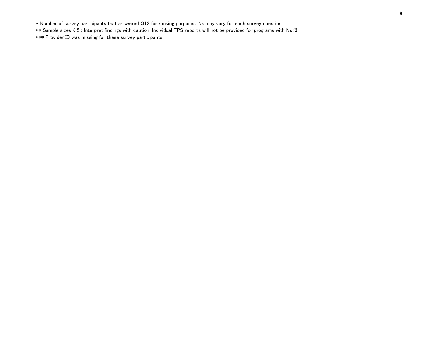\* Number of survey participants that answered Q12 for ranking purposes. Ns may vary for each survey question. \*\* Sample sizes < 5 : Interpret findings with caution. Individual TPS reports will not be provided for programs with Ns<3. \*\*\* Provider ID was missing for these survey participants.